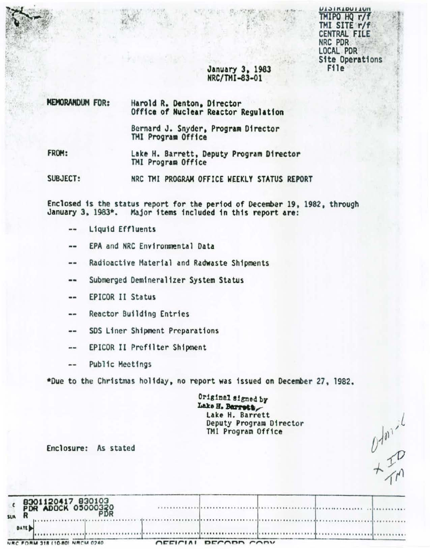**UNITIONIAICI** TMIPO HQ r/f TMI SITE r/f CENTRAL FILE NRC PDR LOCAL PDR **Site Operations** File<sup>1</sup>

 $\begin{array}{c}\nU^{m,1} \\
\downarrow \\
\downarrow \\
\downarrow\n\end{array}$ 

# January 3, 1983 NRC/TMI-83-01

| <b>NEMORANDUM FOR:</b> | Harold R. Denton, Director<br>Office of Nuclear Reactor Regulation |  |  |  |  |  |
|------------------------|--------------------------------------------------------------------|--|--|--|--|--|
|                        | Bernard J. Snyder, Program Director<br>TMI Program Office          |  |  |  |  |  |
| FROM:                  | Lake H. Barrett, Deputy Program Director<br>TMI Program Office     |  |  |  |  |  |
| SUBJECT:               | NRC TMI PROGRAM OFFICE WEEKLY STATUS REPORT                        |  |  |  |  |  |
|                        |                                                                    |  |  |  |  |  |

Enclosed is the status report for the period of December 19, 1982, through January 3, 1983\*. Major items included in this report are:

- Liquid Effluents --
- EPA and NRC Environmental Data --
- Radioactive Material and Radwaste Shipments  $- -$
- Submerged Demineralizer System Status --
- **EPICOR II Status** --
- Reactor Building Entries --
- SDS Liner Shipment Preparations --
- EPICOR II Prefilter Shipment  $...$
- Public Meetings --

\*Due to the Christmas holiday, no report was issued on December 27, 1982.

Original signed by Lake H. Barrett Lake H. Barrett Deputy Program Director TMI Program Office

Enclosure: As stated

| 8301120417 830103<br>PDR ADOCK 05000330<br><b>SUR</b> |           |             |  |  |
|-------------------------------------------------------|-----------|-------------|--|--|
| <b>DATE</b>                                           |           |             |  |  |
| NRC FORM 318 (10-80) NRCM 0240                        | $\bigcap$ | DECODD CODY |  |  |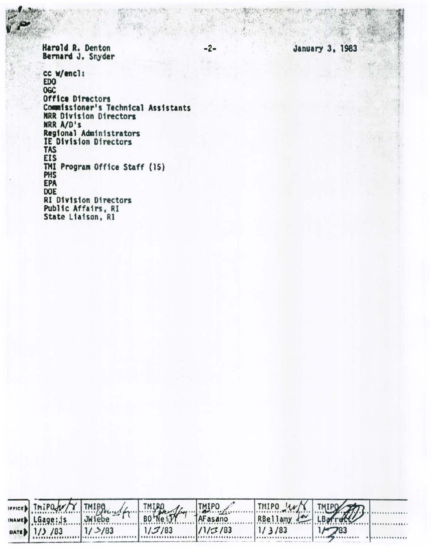Harold R. Denton Bernard J. Snyder

cc w/encl: EDO<sup>1</sup> **OGC Office Directors** Commissioner's Technical Assistants<br>NRR Division Directors NRR A/D's<br>Regional Administrators<br>IE Division Directors TAS **EIS** TMI Program Office Staff (15) PHS EPA DOE **RI Division Directors** Public Affairs, RI State Liaison, RI

|                  |           | THIPOLY THIPOLY THIPOLY THIPOLY THIPOLY |         | RBellamy & LB |       |  |
|------------------|-----------|-----------------------------------------|---------|---------------|-------|--|
| INAMED LGage: js |           |                                         |         |               |       |  |
| DATE 1/3 /83     | $1/$ >/83 | 1/3/83                                  | 11/3/83 | 1/3/83        | 17783 |  |

 $-2-$ 

**January 3, 1983**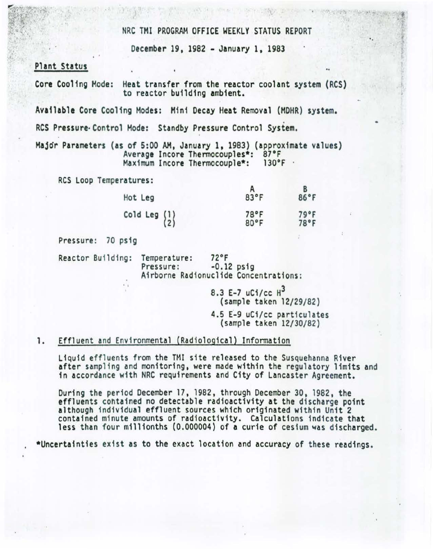#### NRC TMI PROGRAM OFFICE WEEKLY STATUS REPORT

..

December 19, 1982 - January 1, 1983

# Plant Status

' I

Core Cooling Mode: Heat transfer from the reactor coolant system (RCS) to reactor building ambient.

Available Core Cooling Modes: Hin1 Decay Heat Removal (MOHR) system.

RCS Pressure·Control Mode: Standby Pressure Control System.

Major Parameters (as of 5:00 AM, January 1, 1983) (approximate values)<br>Average Incore Thermocouples\*: 87°F<br>Maximum Incore Thermocouple\*: 130°F Maximum Incore Thermocouple\*:

RCS Loop Temperatures:

| Hot Leg                                | 83°F         | B<br>86°F    |
|----------------------------------------|--------------|--------------|
| $\begin{pmatrix} 1 \\ 2 \end{pmatrix}$ | 78°F<br>80°F | 79°F<br>78°F |

Pressure: 70 psig

Reactor Building: Temperature: 72°F<br>Pressure: -0.12 psig .. Airborne Radionuclide Concentrations:

8.3 E-7  $uC1/cc$   $H^3$ {sample taken 12/29/82) 4.5 E-9 uCi/cc particulates {sample taken 12/30/82)

# 1. Effluent and Environmental {Radiological) Information

Liquid effluents from the TMI s1te released to the Susquehanna R1ver after sampling and monitoring, were made within the regulatory limits and 1n accordance with NRC requirements and City of Lancaster Agreement.

During the period December 17, 1982, through December 30, 1982, the effluents contained no detectable radioactivity at the discharge point although individual effluent sources which originated within Unit 2 contained minute amounts of radioactivity. Calculations indicate that less than four millionths (0.000004) of a curie of cesium was discharged.

. \*Uncertainties exist as to the exact location and accuracy of these readings.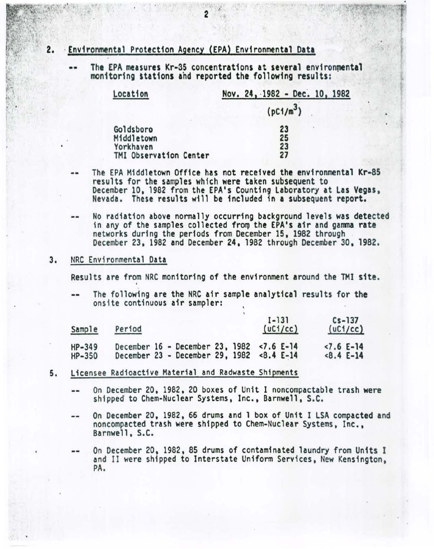# 2. ·Environmental Protection Agency (EPA) Environmental Data

The EPA measures Kr-35 concentrations at several environmental monitoring stations and reported the following results:

| Location               | Nov. 24, 1982 - Dec. 10, 1982 |  |  |  |  |  |  |
|------------------------|-------------------------------|--|--|--|--|--|--|
|                        | (pC1/m <sup>3</sup> )         |  |  |  |  |  |  |
| Goldsboro              | 23                            |  |  |  |  |  |  |
| Middletown             | 25                            |  |  |  |  |  |  |
| Yorkhaven              | 23                            |  |  |  |  |  |  |
| TMI Observation Center | 27                            |  |  |  |  |  |  |

•

- The EPA Middletown Office has not received the environmental Kr-85 results for the samples which were taken subsequent to<br>December 10, 1982 from the EPA's Counting Laboratory at Las Vegas, Nevada. These results will be included in a subsequent report.
	- No radiation above normally occurring background levels was detected in any of the samples collected from the EPA's air and gamma rate networks during the periods from December 15, 1982 through December 23, 1982 and December 24, 1982 through December 30, 1982.

### 3. NRC Environmental Data

• I

Results are from NRC monitoring of the environment around the TMI site. •

. The following are the NRC air sample analytical results for the onsite continuous air sampler:

| Sample           | Period |  |  |                                                                              |  |  | $1 - 131$<br>(uC1/cc) |  | $Cs - 137$<br>(uC1/cc) |             |
|------------------|--------|--|--|------------------------------------------------------------------------------|--|--|-----------------------|--|------------------------|-------------|
| HP-349<br>HP-350 |        |  |  | December 16 - December 23, 1982 <7.6 E-14<br>December 23 - December 29, 1982 |  |  | $<8.4$ E-14           |  | $< 7.6$ E-14           | $<8.4$ E-14 |

- 5. Licensee Radioactive Material and Radwaste Shipments
	- On December 20, 1982, 20 boxes of Unit I noncompactable trash were  $-1$ shipped to Chem-Nuclear Systems, Inc., Barnwell, S.C.
	- On December 20, 1982, 66 drums and 1 box of Unit I LSA compacted and -noncompacted trash were shipped to Chem-Nuclear Systems, Inc., Barnwell, S.C.
	- On December 20, 1982, 85 drums of contaminated laundry from Units I and II were shipped to Interstate Uniform Services, New Kensington, PA.

.. .. ; 2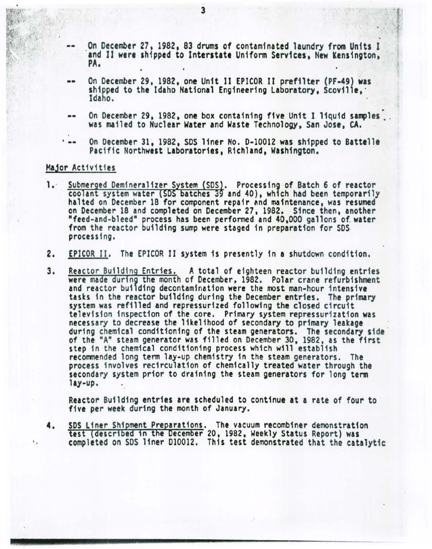- On December 27, 1982, 83 drums of contaminated laundry from Units I<br>and II were shipped to Interstate Uniform Services, New Kensington,<br>PA.
- •• On December 29, 1982, one Un1t II EPICOR Jl prefilter (PF-49) was shipped to the Idaho National Engineering Laboratory, Scoville, ·<br>Idaho.
- -- On December 29, 1982, one box containing five Unit I liquid samples . was mailed to Nuclear Water and Waste Technology, San Jose, CA.
- ... On December 31, 1982, SDS liner No. D-10012 was shipped to Battelle Pacific Northwest Laboratories, Richland, Washington.

# Major Activities

••

- 1. Submerged Demineralizer System (SDS). Processing of Batch 6 of reactor<br>coolant system water (SDS batches 39 and 40), which had been temporarily halted on December 18 for component repair and maintenance, was resumed on December 18 and completed on December 27, 1982. Since then, another "feed-and-bleed" process has been performed and 40,000 gallons of. water from the reactor building sump were staged in preparation for SDS processing.
- 2. EPICOR II. The EPICOR II system is presently 1n a shutdown condition.
- 3. Reactor Building Entries. A total of eighteen reactor building entries were made during the month of December, 1982. Polar crane refurbishment and reactor building decontamination were the most man-hour intensive tasks in the reactor building during the December entries. The primary<br>system was refilled and repressurized following the closed circuit system was refilled and repressurized following the closed circuit<br>television inspection of the core. Primary system repressurization was<br>necessary to decrease the likelihood of secondary to primary leakage necessary to decrease the likelihood of secondary to primary leakage during chemical conditioning of the steam generators. The secondary sfde of the "A" steam generator was filled on December 30, 1982, as the first step in the chemical conditioning process which will establish recommended long term lay-up chemistry in the steam generators. The process involves recirculation of chemically treated water through the secondary system prior to draining the steam generators for long term lay-up.

Reactor Building entries are scheduled to continue at a rate of four to five per week during the month of January.

4. SDS Liner Shipment Preparations. The vacuum recombiner demonstration test (described in the December 20, 1982, Weekly Status Report) was completed on SOS liner D10012. This test demonstrated that the catalytic

3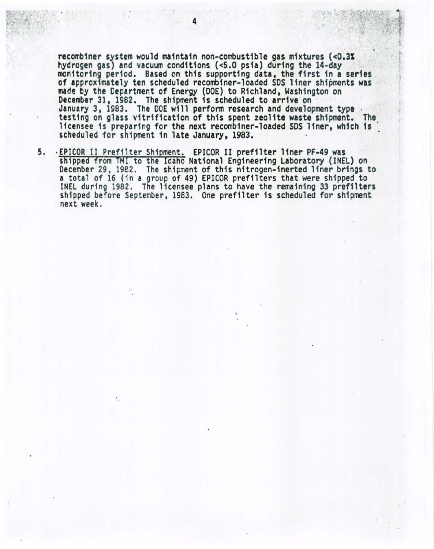recombiner system would maintain non-combustible gas mixtures (<0.3%<br>hydrogen gas) and vacuum conditions (<5.0 psia) during the 14-day<br>monitoring period. Based on this supporting data, the first in a series of approximately ten scheduled recombiner-1oaded SDS liner shipments was made by the Department of Energy (DOE) to Richland, Washington on December 31, 1982. The shipment is scheduled to arrive·on January 3, 1983. The DOE w111 perform research and development type . testing on glass vitrification of this spent zeolite waste shipment. The licensee is preparing for the next recombiner-loaded SDS liner, which is scheduled for shipment in late January, 1983.

5. ·EPICOR II Prefilter Shipment. EPICOR II prefilter liner PF-49 was shipped from TMI to the Idaho National Engineering Laboratory (INEL) on December 29, 1982. The shipment of this nitrogen-inerted liner brings to a total of 16 (in a group of 49) EPICOR pref11ters that were shipped to INEL during 1982. The licensee plans to have the remaining 33 prefilters shipped before September, 1983. One prefilter is scheduled for shipment next week.